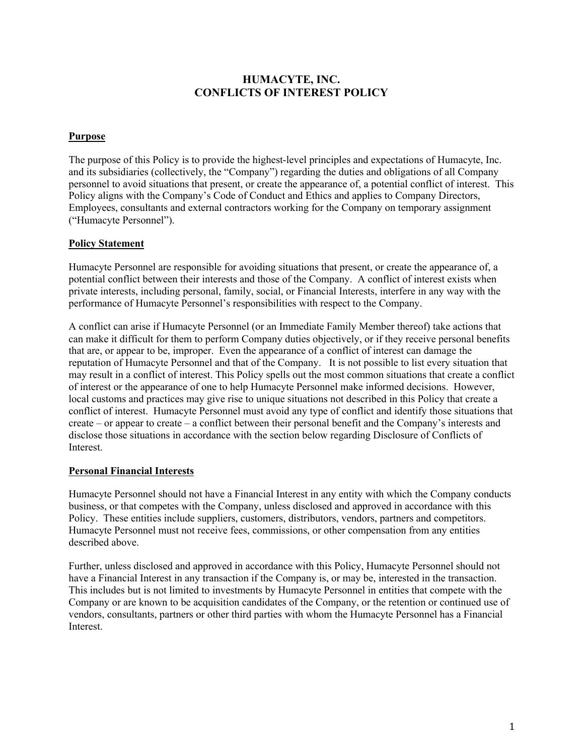# **HUMACYTE, INC. CONFLICTS OF INTEREST POLICY**

### **Purpose**

The purpose of this Policy is to provide the highest-level principles and expectations of Humacyte, Inc. and its subsidiaries (collectively, the "Company") regarding the duties and obligations of all Company personnel to avoid situations that present, or create the appearance of, a potential conflict of interest. This Policy aligns with the Company's Code of Conduct and Ethics and applies to Company Directors, Employees, consultants and external contractors working for the Company on temporary assignment ("Humacyte Personnel").

### **Policy Statement**

Humacyte Personnel are responsible for avoiding situations that present, or create the appearance of, a potential conflict between their interests and those of the Company. A conflict of interest exists when private interests, including personal, family, social, or Financial Interests, interfere in any way with the performance of Humacyte Personnel's responsibilities with respect to the Company.

A conflict can arise if Humacyte Personnel (or an Immediate Family Member thereof) take actions that can make it difficult for them to perform Company duties objectively, or if they receive personal benefits that are, or appear to be, improper. Even the appearance of a conflict of interest can damage the reputation of Humacyte Personnel and that of the Company. It is not possible to list every situation that may result in a conflict of interest. This Policy spells out the most common situations that create a conflict of interest or the appearance of one to help Humacyte Personnel make informed decisions. However, local customs and practices may give rise to unique situations not described in this Policy that create a conflict of interest. Humacyte Personnel must avoid any type of conflict and identify those situations that create – or appear to create – a conflict between their personal benefit and the Company's interests and disclose those situations in accordance with the section below regarding Disclosure of Conflicts of Interest.

#### **Personal Financial Interests**

Humacyte Personnel should not have a Financial Interest in any entity with which the Company conducts business, or that competes with the Company, unless disclosed and approved in accordance with this Policy. These entities include suppliers, customers, distributors, vendors, partners and competitors. Humacyte Personnel must not receive fees, commissions, or other compensation from any entities described above.

Further, unless disclosed and approved in accordance with this Policy, Humacyte Personnel should not have a Financial Interest in any transaction if the Company is, or may be, interested in the transaction. This includes but is not limited to investments by Humacyte Personnel in entities that compete with the Company or are known to be acquisition candidates of the Company, or the retention or continued use of vendors, consultants, partners or other third parties with whom the Humacyte Personnel has a Financial Interest.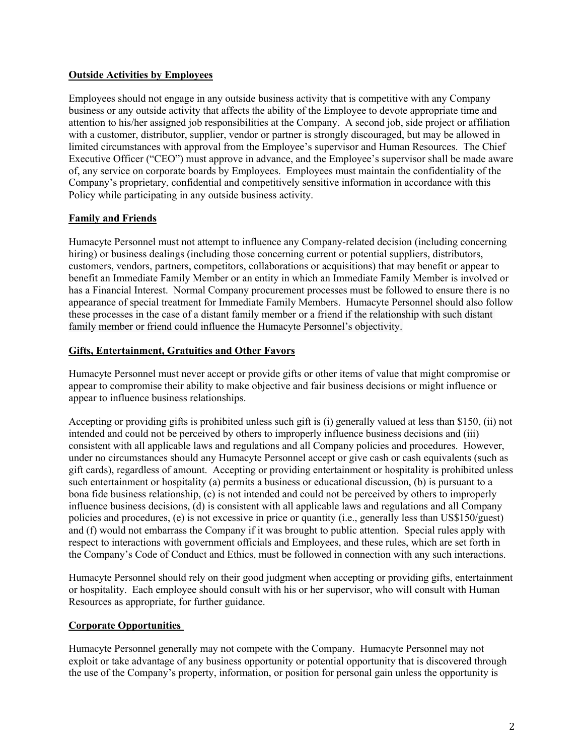### **Outside Activities by Employees**

Employees should not engage in any outside business activity that is competitive with any Company business or any outside activity that affects the ability of the Employee to devote appropriate time and attention to his/her assigned job responsibilities at the Company. A second job, side project or affiliation with a customer, distributor, supplier, vendor or partner is strongly discouraged, but may be allowed in limited circumstances with approval from the Employee's supervisor and Human Resources. The Chief Executive Officer ("CEO") must approve in advance, and the Employee's supervisor shall be made aware of, any service on corporate boards by Employees. Employees must maintain the confidentiality of the Company's proprietary, confidential and competitively sensitive information in accordance with this Policy while participating in any outside business activity.

## **Family and Friends**

Humacyte Personnel must not attempt to influence any Company-related decision (including concerning hiring) or business dealings (including those concerning current or potential suppliers, distributors, customers, vendors, partners, competitors, collaborations or acquisitions) that may benefit or appear to benefit an Immediate Family Member or an entity in which an Immediate Family Member is involved or has a Financial Interest. Normal Company procurement processes must be followed to ensure there is no appearance of special treatment for Immediate Family Members. Humacyte Personnel should also follow these processes in the case of a distant family member or a friend if the relationship with such distant family member or friend could influence the Humacyte Personnel's objectivity.

### **Gifts, Entertainment, Gratuities and Other Favors**

Humacyte Personnel must never accept or provide gifts or other items of value that might compromise or appear to compromise their ability to make objective and fair business decisions or might influence or appear to influence business relationships.

Accepting or providing gifts is prohibited unless such gift is (i) generally valued at less than \$150, (ii) not intended and could not be perceived by others to improperly influence business decisions and (iii) consistent with all applicable laws and regulations and all Company policies and procedures. However, under no circumstances should any Humacyte Personnel accept or give cash or cash equivalents (such as gift cards), regardless of amount. Accepting or providing entertainment or hospitality is prohibited unless such entertainment or hospitality (a) permits a business or educational discussion, (b) is pursuant to a bona fide business relationship, (c) is not intended and could not be perceived by others to improperly influence business decisions, (d) is consistent with all applicable laws and regulations and all Company policies and procedures, (e) is not excessive in price or quantity (i.e., generally less than US\$150/guest) and (f) would not embarrass the Company if it was brought to public attention. Special rules apply with respect to interactions with government officials and Employees, and these rules, which are set forth in the Company's Code of Conduct and Ethics, must be followed in connection with any such interactions.

Humacyte Personnel should rely on their good judgment when accepting or providing gifts, entertainment or hospitality. Each employee should consult with his or her supervisor, who will consult with Human Resources as appropriate, for further guidance.

## **Corporate Opportunities**

Humacyte Personnel generally may not compete with the Company. Humacyte Personnel may not exploit or take advantage of any business opportunity or potential opportunity that is discovered through the use of the Company's property, information, or position for personal gain unless the opportunity is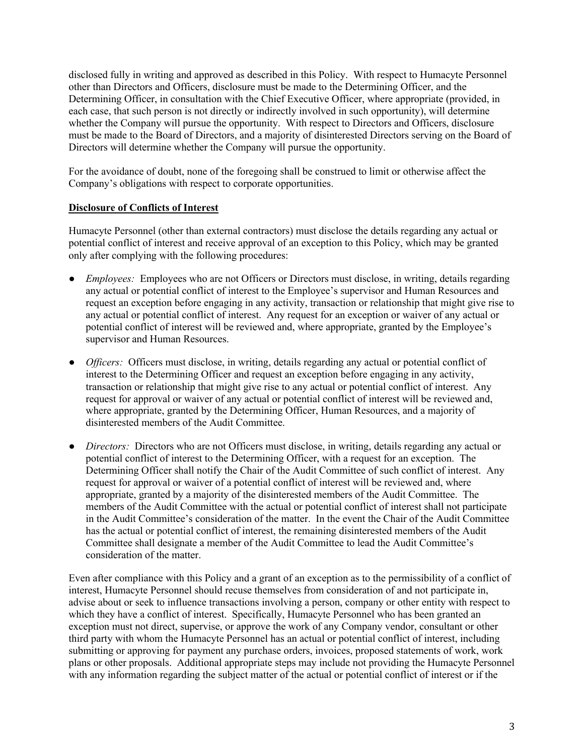disclosed fully in writing and approved as described in this Policy. With respect to Humacyte Personnel other than Directors and Officers, disclosure must be made to the Determining Officer, and the Determining Officer, in consultation with the Chief Executive Officer, where appropriate (provided, in each case, that such person is not directly or indirectly involved in such opportunity), will determine whether the Company will pursue the opportunity. With respect to Directors and Officers, disclosure must be made to the Board of Directors, and a majority of disinterested Directors serving on the Board of Directors will determine whether the Company will pursue the opportunity.

For the avoidance of doubt, none of the foregoing shall be construed to limit or otherwise affect the Company's obligations with respect to corporate opportunities.

### **Disclosure of Conflicts of Interest**

Humacyte Personnel (other than external contractors) must disclose the details regarding any actual or potential conflict of interest and receive approval of an exception to this Policy, which may be granted only after complying with the following procedures:

- *Employees:* Employees who are not Officers or Directors must disclose, in writing, details regarding any actual or potential conflict of interest to the Employee's supervisor and Human Resources and request an exception before engaging in any activity, transaction or relationship that might give rise to any actual or potential conflict of interest. Any request for an exception or waiver of any actual or potential conflict of interest will be reviewed and, where appropriate, granted by the Employee's supervisor and Human Resources.
- *Officers:* Officers must disclose, in writing, details regarding any actual or potential conflict of interest to the Determining Officer and request an exception before engaging in any activity, transaction or relationship that might give rise to any actual or potential conflict of interest. Any request for approval or waiver of any actual or potential conflict of interest will be reviewed and, where appropriate, granted by the Determining Officer, Human Resources, and a majority of disinterested members of the Audit Committee.
- *Directors:* Directors who are not Officers must disclose, in writing, details regarding any actual or potential conflict of interest to the Determining Officer, with a request for an exception. The Determining Officer shall notify the Chair of the Audit Committee of such conflict of interest. Any request for approval or waiver of a potential conflict of interest will be reviewed and, where appropriate, granted by a majority of the disinterested members of the Audit Committee. The members of the Audit Committee with the actual or potential conflict of interest shall not participate in the Audit Committee's consideration of the matter. In the event the Chair of the Audit Committee has the actual or potential conflict of interest, the remaining disinterested members of the Audit Committee shall designate a member of the Audit Committee to lead the Audit Committee's consideration of the matter.

Even after compliance with this Policy and a grant of an exception as to the permissibility of a conflict of interest, Humacyte Personnel should recuse themselves from consideration of and not participate in, advise about or seek to influence transactions involving a person, company or other entity with respect to which they have a conflict of interest. Specifically, Humacyte Personnel who has been granted an exception must not direct, supervise, or approve the work of any Company vendor, consultant or other third party with whom the Humacyte Personnel has an actual or potential conflict of interest, including submitting or approving for payment any purchase orders, invoices, proposed statements of work, work plans or other proposals. Additional appropriate steps may include not providing the Humacyte Personnel with any information regarding the subject matter of the actual or potential conflict of interest or if the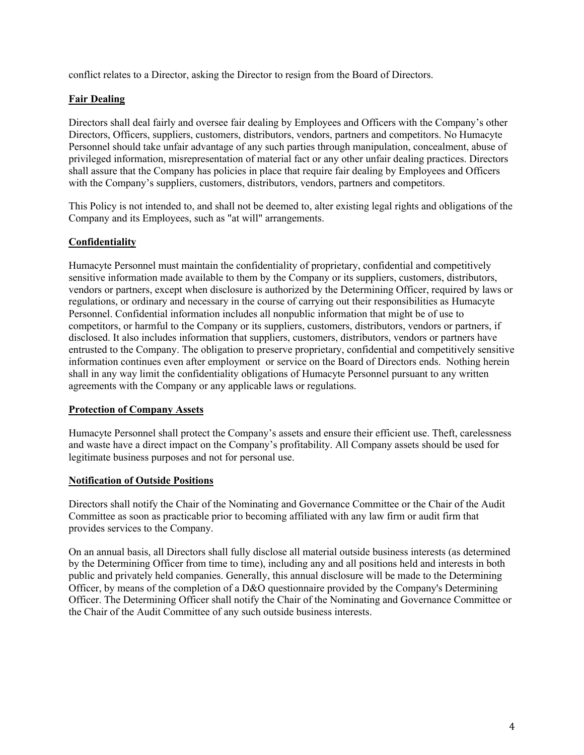conflict relates to a Director, asking the Director to resign from the Board of Directors.

# **Fair Dealing**

Directors shall deal fairly and oversee fair dealing by Employees and Officers with the Company's other Directors, Officers, suppliers, customers, distributors, vendors, partners and competitors. No Humacyte Personnel should take unfair advantage of any such parties through manipulation, concealment, abuse of privileged information, misrepresentation of material fact or any other unfair dealing practices. Directors shall assure that the Company has policies in place that require fair dealing by Employees and Officers with the Company's suppliers, customers, distributors, vendors, partners and competitors.

This Policy is not intended to, and shall not be deemed to, alter existing legal rights and obligations of the Company and its Employees, such as "at will" arrangements.

# **Confidentiality**

Humacyte Personnel must maintain the confidentiality of proprietary, confidential and competitively sensitive information made available to them by the Company or its suppliers, customers, distributors, vendors or partners, except when disclosure is authorized by the Determining Officer, required by laws or regulations, or ordinary and necessary in the course of carrying out their responsibilities as Humacyte Personnel. Confidential information includes all nonpublic information that might be of use to competitors, or harmful to the Company or its suppliers, customers, distributors, vendors or partners, if disclosed. It also includes information that suppliers, customers, distributors, vendors or partners have entrusted to the Company. The obligation to preserve proprietary, confidential and competitively sensitive information continues even after employment or service on the Board of Directors ends. Nothing herein shall in any way limit the confidentiality obligations of Humacyte Personnel pursuant to any written agreements with the Company or any applicable laws or regulations.

## **Protection of Company Assets**

Humacyte Personnel shall protect the Company's assets and ensure their efficient use. Theft, carelessness and waste have a direct impact on the Company's profitability. All Company assets should be used for legitimate business purposes and not for personal use.

#### **Notification of Outside Positions**

Directors shall notify the Chair of the Nominating and Governance Committee or the Chair of the Audit Committee as soon as practicable prior to becoming affiliated with any law firm or audit firm that provides services to the Company.

On an annual basis, all Directors shall fully disclose all material outside business interests (as determined by the Determining Officer from time to time), including any and all positions held and interests in both public and privately held companies. Generally, this annual disclosure will be made to the Determining Officer, by means of the completion of a D&O questionnaire provided by the Company's Determining Officer. The Determining Officer shall notify the Chair of the Nominating and Governance Committee or the Chair of the Audit Committee of any such outside business interests.